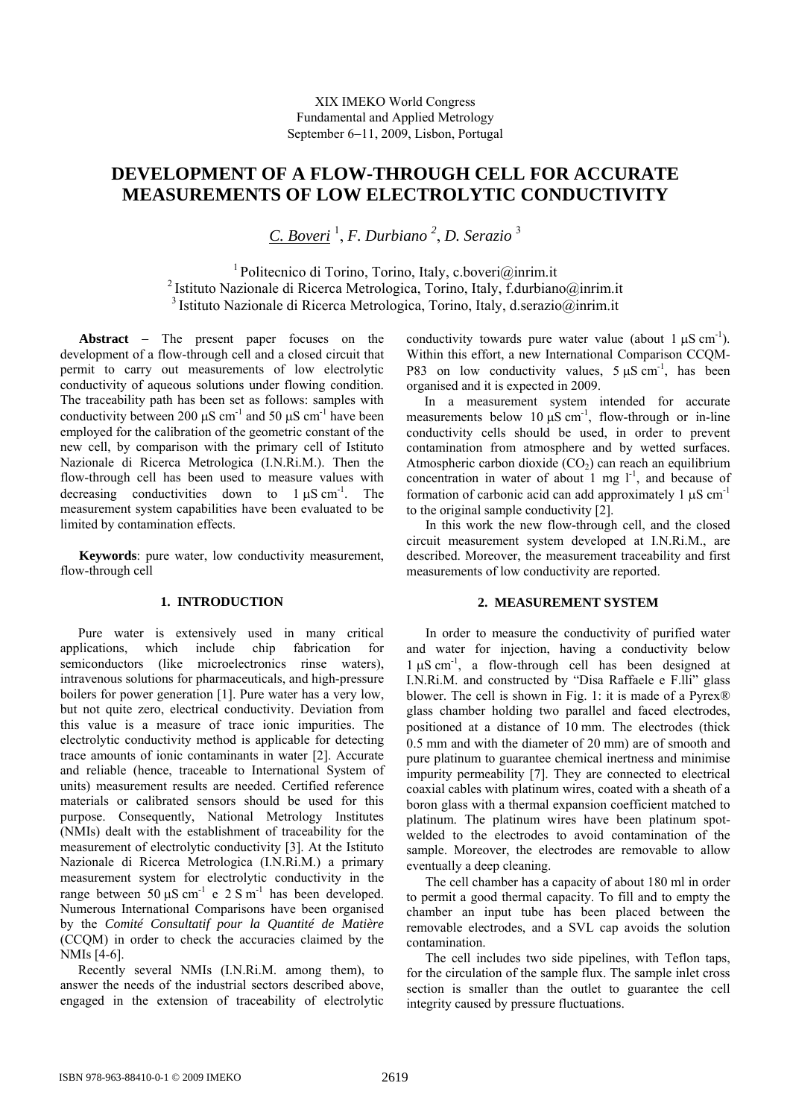# **DEVELOPMENT OF A FLOW-THROUGH CELL FOR ACCURATE MEASUREMENTS OF LOW ELECTROLYTIC CONDUCTIVITY**

*C. Boveri* <sup>1</sup> , *F. Durbiano 2* , *D. Serazio* <sup>3</sup>

1 Politecnico di Torino, Torino, Italy, c.boveri@inrim.it 2 Istituto Nazionale di Ricerca Metrologica, Torino, Italy, f.durbiano@inrim.it 3 Istituto Nazionale di Ricerca Metrologica, Torino, Italy, d.serazio@inrim.it

**Abstract** − The present paper focuses on the development of a flow-through cell and a closed circuit that permit to carry out measurements of low electrolytic conductivity of aqueous solutions under flowing condition. The traceability path has been set as follows: samples with conductivity between 200  $\mu$ S cm<sup>-1</sup> and 50  $\mu$ S cm<sup>-1</sup> have been employed for the calibration of the geometric constant of the new cell, by comparison with the primary cell of Istituto Nazionale di Ricerca Metrologica (I.N.Ri.M.). Then the flow-through cell has been used to measure values with decreasing conductivities down to  $1 \mu S \text{ cm}^{-1}$ . The measurement system capabilities have been evaluated to be limited by contamination effects.

**Keywords**: pure water, low conductivity measurement, flow-through cell

## **1. INTRODUCTION**

Pure water is extensively used in many critical applications, which include chip fabrication for semiconductors (like microelectronics rinse waters), intravenous solutions for pharmaceuticals, and high-pressure boilers for power generation [1]. Pure water has a very low, but not quite zero, electrical conductivity. Deviation from this value is a measure of trace ionic impurities. The electrolytic conductivity method is applicable for detecting trace amounts of ionic contaminants in water [2]. Accurate and reliable (hence, traceable to International System of units) measurement results are needed. Certified reference materials or calibrated sensors should be used for this purpose. Consequently, National Metrology Institutes (NMIs) dealt with the establishment of traceability for the measurement of electrolytic conductivity [3]. At the Istituto Nazionale di Ricerca Metrologica (I.N.Ri.M.) a primary measurement system for electrolytic conductivity in the range between 50 μS cm<sup>-1</sup> e 2 S m<sup>-1</sup> has been developed. Numerous International Comparisons have been organised by the *Comité Consultatif pour la Quantité de Matière*  (CCQM) in order to check the accuracies claimed by the NMIs [4-6].

Recently several NMIs (I.N.Ri.M. among them), to answer the needs of the industrial sectors described above, engaged in the extension of traceability of electrolytic conductivity towards pure water value (about  $1 \mu S \text{ cm}^{-1}$ ). Within this effort, a new International Comparison CCQM-P83 on low conductivity values,  $5 \mu S \text{ cm}^{-1}$ , has been organised and it is expected in 2009.

In a measurement system intended for accurate measurements below  $10 \mu S$  cm<sup>-1</sup>, flow-through or in-line conductivity cells should be used, in order to prevent contamination from atmosphere and by wetted surfaces. Atmospheric carbon dioxide  $(CO<sub>2</sub>)$  can reach an equilibrium concentration in water of about 1 mg  $1<sup>-1</sup>$ , and because of formation of carbonic acid can add approximately 1  $\mu$ S cm<sup>-1</sup> to the original sample conductivity [2].

In this work the new flow-through cell, and the closed circuit measurement system developed at I.N.Ri.M., are described. Moreover, the measurement traceability and first measurements of low conductivity are reported.

### **2. MEASUREMENT SYSTEM**

In order to measure the conductivity of purified water and water for injection, having a conductivity below  $1 \mu S$  cm<sup>-1</sup>, a flow-through cell has been designed at I.N.Ri.M. and constructed by "Disa Raffaele e F.lli" glass blower. The cell is shown in Fig. 1: it is made of a Pyrex® glass chamber holding two parallel and faced electrodes, positioned at a distance of 10 mm. The electrodes (thick 0.5 mm and with the diameter of 20 mm) are of smooth and pure platinum to guarantee chemical inertness and minimise impurity permeability [7]. They are connected to electrical coaxial cables with platinum wires, coated with a sheath of a boron glass with a thermal expansion coefficient matched to platinum. The platinum wires have been platinum spotwelded to the electrodes to avoid contamination of the sample. Moreover, the electrodes are removable to allow eventually a deep cleaning.

The cell chamber has a capacity of about 180 ml in order to permit a good thermal capacity. To fill and to empty the chamber an input tube has been placed between the removable electrodes, and a SVL cap avoids the solution contamination.

The cell includes two side pipelines, with Teflon taps, for the circulation of the sample flux. The sample inlet cross section is smaller than the outlet to guarantee the cell integrity caused by pressure fluctuations.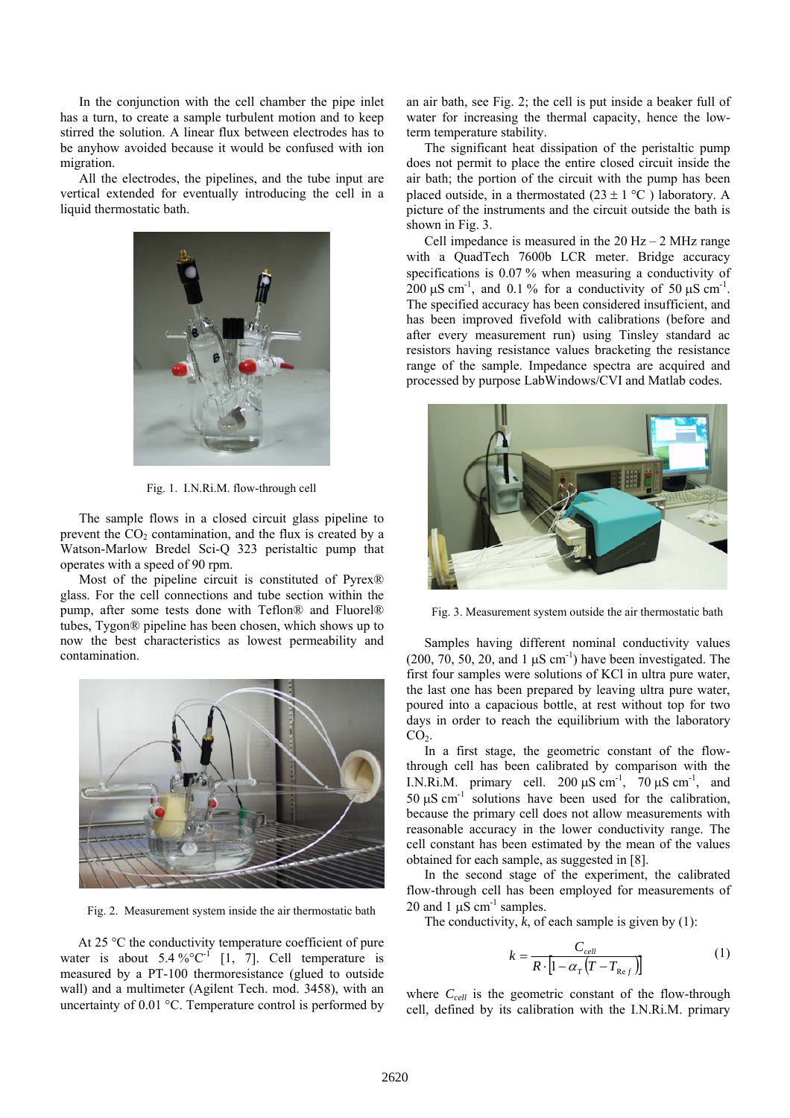In the conjunction with the cell chamber the pipe inlet has a turn, to create a sample turbulent motion and to keep stirred the solution. A linear flux between electrodes has to be anyhow avoided because it would be confused with ion migration.

All the electrodes, the pipelines, and the tube input are vertical extended for eventually introducing the cell in a liquid thermostatic bath.



Fig. 1. I.N.Ri.M. flow-through cell

The sample flows in a closed circuit glass pipeline to prevent the  $CO<sub>2</sub>$  contamination, and the flux is created by a Watson-Marlow Bredel Sci-Q 323 peristaltic pump that operates with a speed of 90 rpm.

Most of the pipeline circuit is constituted of Pyrex® glass. For the cell connections and tube section within the pump, after some tests done with Teflon® and Fluorel® tubes, Tygon® pipeline has been chosen, which shows up to now the best characteristics as lowest permeability and contamination.



Fig. 2. Measurement system inside the air thermostatic bath

At 25 °C the conductivity temperature coefficient of pure water is about  $5.4\%^{\circ}C^{-1}$  [1, 7]. Cell temperature is measured by a PT-100 thermoresistance (glued to outside wall) and a multimeter (Agilent Tech. mod. 3458), with an uncertainty of 0.01 °C. Temperature control is performed by an air bath, see Fig. 2; the cell is put inside a beaker full of water for increasing the thermal capacity, hence the lowterm temperature stability.

The significant heat dissipation of the peristaltic pump does not permit to place the entire closed circuit inside the air bath; the portion of the circuit with the pump has been placed outside, in a thermostated  $(23 \pm 1 \degree C)$  laboratory. A picture of the instruments and the circuit outside the bath is shown in Fig. 3.

Cell impedance is measured in the  $20$  Hz – 2 MHz range with a QuadTech 7600b LCR meter. Bridge accuracy specifications is 0.07 % when measuring a conductivity of 200 μS cm<sup>-1</sup>, and 0.1 % for a conductivity of 50 μS cm<sup>-1</sup>. The specified accuracy has been considered insufficient, and has been improved fivefold with calibrations (before and after every measurement run) using Tinsley standard ac resistors having resistance values bracketing the resistance range of the sample. Impedance spectra are acquired and processed by purpose LabWindows/CVI and Matlab codes.



Fig. 3. Measurement system outside the air thermostatic bath

Samples having different nominal conductivity values (200, 70, 50, 20, and 1  $\mu$ S cm<sup>-1</sup>) have been investigated. The first four samples were solutions of KCl in ultra pure water, the last one has been prepared by leaving ultra pure water, poured into a capacious bottle, at rest without top for two days in order to reach the equilibrium with the laboratory  $CO<sub>2</sub>$ .

In a first stage, the geometric constant of the flowthrough cell has been calibrated by comparison with the I.N.Ri.M. primary cell.  $200 \mu S \text{ cm}^{-1}$ ,  $70 \mu S \text{ cm}^{-1}$ , and 50  $\mu$ S cm<sup>-1</sup> solutions have been used for the calibration, because the primary cell does not allow measurements with reasonable accuracy in the lower conductivity range. The cell constant has been estimated by the mean of the values obtained for each sample, as suggested in [8].

In the second stage of the experiment, the calibrated flow-through cell has been employed for measurements of 20 and 1  $\mu$ S cm<sup>-1</sup> samples.

The conductivity,  $\overline{k}$ , of each sample is given by (1):

$$
k = \frac{C_{cell}}{R \cdot \left[1 - \alpha_r \left(T - T_{Ref}\right)\right]}
$$
 (1)

where  $C_{cell}$  is the geometric constant of the flow-through cell, defined by its calibration with the I.N.Ri.M. primary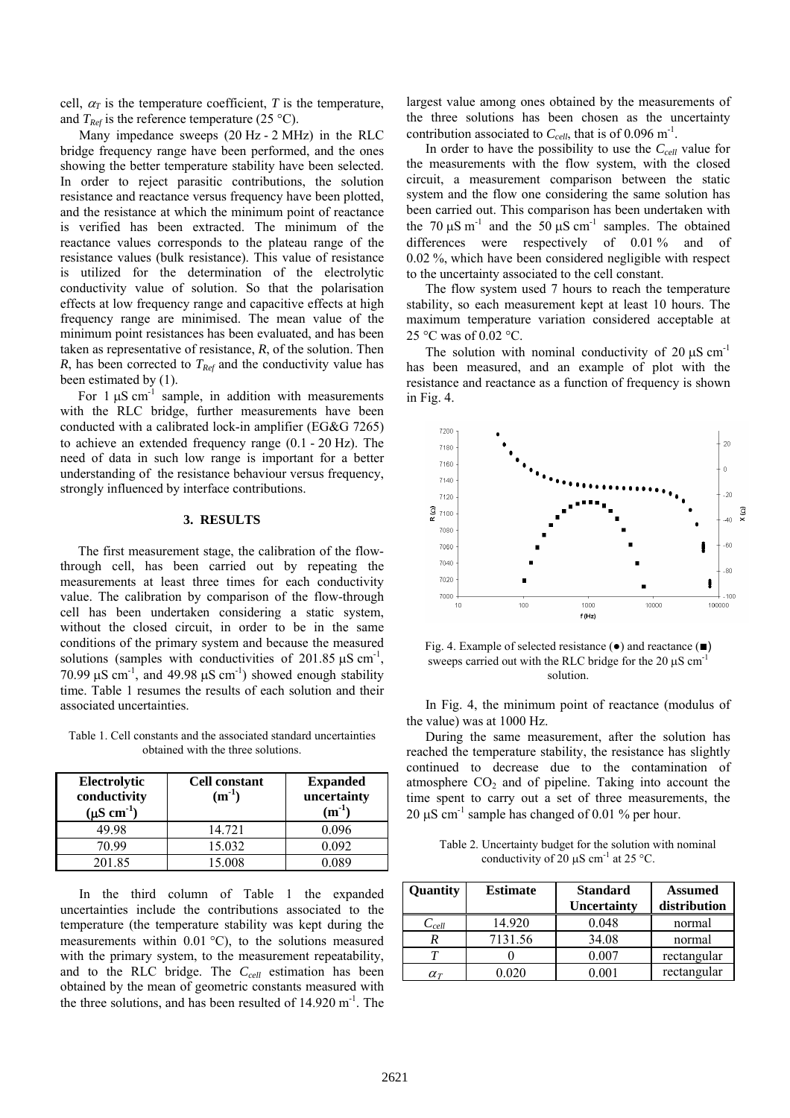cell,  $\alpha_T$  is the temperature coefficient, *T* is the temperature, and  $T_{Ref}$  is the reference temperature (25 °C).

Many impedance sweeps (20 Hz - 2 MHz) in the RLC bridge frequency range have been performed, and the ones showing the better temperature stability have been selected. In order to reject parasitic contributions, the solution resistance and reactance versus frequency have been plotted, and the resistance at which the minimum point of reactance is verified has been extracted. The minimum of the reactance values corresponds to the plateau range of the resistance values (bulk resistance). This value of resistance is utilized for the determination of the electrolytic conductivity value of solution. So that the polarisation effects at low frequency range and capacitive effects at high frequency range are minimised. The mean value of the minimum point resistances has been evaluated, and has been taken as representative of resistance, *R*, of the solution. Then *R*, has been corrected to  $T_{Ref}$  and the conductivity value has been estimated by (1).

For  $1 \mu S$  cm<sup>-1</sup> sample, in addition with measurements with the RLC bridge, further measurements have been conducted with a calibrated lock-in amplifier (EG&G 7265) to achieve an extended frequency range (0.1 - 20 Hz). The need of data in such low range is important for a better understanding of the resistance behaviour versus frequency, strongly influenced by interface contributions.

#### **3. RESULTS**

The first measurement stage, the calibration of the flowthrough cell, has been carried out by repeating the measurements at least three times for each conductivity value. The calibration by comparison of the flow-through cell has been undertaken considering a static system, without the closed circuit, in order to be in the same conditions of the primary system and because the measured solutions (samples with conductivities of 201.85  $\mu$ S cm<sup>-1</sup>, 70.99  $\mu$ S cm<sup>-1</sup>, and 49.98  $\mu$ S cm<sup>-1</sup>) showed enough stability time. Table 1 resumes the results of each solution and their associated uncertainties.

Table 1. Cell constants and the associated standard uncertainties obtained with the three solutions.

| Electrolytic<br>conductivity<br>$(\mu S \text{ cm}^{-1})$ | <b>Cell constant</b><br>$(m^{-1})$ | <b>Expanded</b><br>uncertainty<br>$(m^{-1})$ |
|-----------------------------------------------------------|------------------------------------|----------------------------------------------|
| 49.98                                                     | 14.721                             | 0.096                                        |
| 70.99                                                     | 15.032                             | 0.092                                        |
| 201.85                                                    | 15.008                             | 089                                          |

In the third column of Table 1 the expanded uncertainties include the contributions associated to the temperature (the temperature stability was kept during the measurements within  $0.01 \degree C$ , to the solutions measured with the primary system, to the measurement repeatability, and to the RLC bridge. The  $C_{cell}$  estimation has been obtained by the mean of geometric constants measured with the three solutions, and has been resulted of  $14.920 \text{ m}^{-1}$ . The largest value among ones obtained by the measurements of the three solutions has been chosen as the uncertainty contribution associated to  $C_{cell}$ , that is of 0.096 m<sup>-1</sup>.

In order to have the possibility to use the  $C_{cell}$  value for the measurements with the flow system, with the closed circuit, a measurement comparison between the static system and the flow one considering the same solution has been carried out. This comparison has been undertaken with the 70  $\mu$ S m<sup>-1</sup> and the 50  $\mu$ S cm<sup>-1</sup> samples. The obtained differences were respectively of 0.01% and of 0.02 %, which have been considered negligible with respect to the uncertainty associated to the cell constant.

The flow system used 7 hours to reach the temperature stability, so each measurement kept at least 10 hours. The maximum temperature variation considered acceptable at 25 °C was of 0.02 °C.

The solution with nominal conductivity of  $20 \mu S \text{ cm}^{-1}$ has been measured, and an example of plot with the resistance and reactance as a function of frequency is shown in Fig. 4.



Fig. 4. Example of selected resistance (●) and reactance (■) sweeps carried out with the RLC bridge for the  $20 \mu S$  cm<sup>-1</sup> solution.

In Fig. 4, the minimum point of reactance (modulus of the value) was at 1000 Hz.

During the same measurement, after the solution has reached the temperature stability, the resistance has slightly continued to decrease due to the contamination of atmosphere  $CO<sub>2</sub>$  and of pipeline. Taking into account the time spent to carry out a set of three measurements, the 20 μS cm<sup>-1</sup> sample has changed of 0.01 % per hour.

Table 2. Uncertainty budget for the solution with nominal conductivity of 20  $\mu$ S cm<sup>-1</sup> at 25 °C.

| Quantity        | <b>Estimate</b> | <b>Standard</b><br><b>Uncertainty</b> | <b>Assumed</b><br>distribution |
|-----------------|-----------------|---------------------------------------|--------------------------------|
| $C_{cell}$      | 14.920          | 0.048                                 | normal                         |
|                 | 7131.56         | 34.08                                 | normal                         |
|                 |                 | 0.007                                 | rectangular                    |
| $\alpha_{\tau}$ |                 | ብ በበተ                                 | rectangular                    |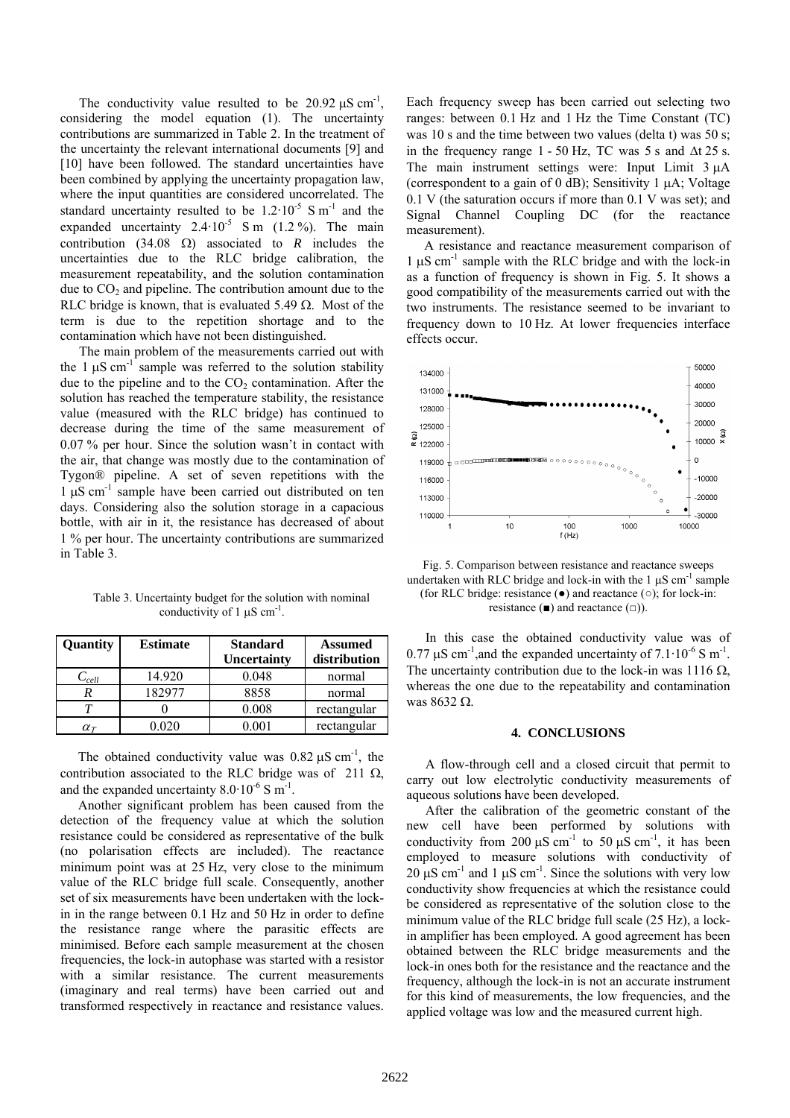The conductivity value resulted to be  $20.92 \,\mu\text{S cm}^{-1}$ , considering the model equation (1). The uncertainty contributions are summarized in Table 2. In the treatment of the uncertainty the relevant international documents [9] and [10] have been followed. The standard uncertainties have been combined by applying the uncertainty propagation law, where the input quantities are considered uncorrelated. The standard uncertainty resulted to be  $1.2 \cdot 10^{-5}$  S m<sup>-1</sup> and the expanded uncertainty  $2.4 \cdot 10^{-5}$  S m (1.2 %). The main contribution (34.08  $\Omega$ ) associated to *R* includes the uncertainties due to the RLC bridge calibration, the measurement repeatability, and the solution contamination due to  $CO<sub>2</sub>$  and pipeline. The contribution amount due to the RLC bridge is known, that is evaluated 5.49  $\Omega$ . Most of the term is due to the repetition shortage and to the contamination which have not been distinguished.

The main problem of the measurements carried out with the 1  $\mu$ S cm<sup>-1</sup> sample was referred to the solution stability due to the pipeline and to the  $CO<sub>2</sub>$  contamination. After the solution has reached the temperature stability, the resistance value (measured with the RLC bridge) has continued to decrease during the time of the same measurement of 0.07 % per hour. Since the solution wasn't in contact with the air, that change was mostly due to the contamination of Tygon® pipeline. A set of seven repetitions with the  $1 \text{ uS cm}^{-1}$  sample have been carried out distributed on ten days. Considering also the solution storage in a capacious bottle, with air in it, the resistance has decreased of about 1 % per hour. The uncertainty contributions are summarized in Table 3.

Table 3. Uncertainty budget for the solution with nominal conductivity of 1  $\mu$ S cm<sup>-1</sup>.

| Quantity        | <b>Estimate</b> | <b>Standard</b>    | <b>Assumed</b> |
|-----------------|-----------------|--------------------|----------------|
|                 |                 | <b>Uncertainty</b> | distribution   |
| $C_{cell}$      | 14.920          | 0.048              | normal         |
|                 | 182977          | 8858               | normal         |
|                 |                 | 0.008              | rectangular    |
| $\alpha_{\tau}$ | നാറ             | -001               | rectangular    |

The obtained conductivity value was  $0.82 \mu S \text{ cm}^{-1}$ , the contribution associated to the RLC bridge was of 211  $\Omega$ , and the expanded uncertainty  $8.0 \cdot 10^{-6}$  S m<sup>-1</sup>.

Another significant problem has been caused from the detection of the frequency value at which the solution resistance could be considered as representative of the bulk (no polarisation effects are included). The reactance minimum point was at 25 Hz, very close to the minimum value of the RLC bridge full scale. Consequently, another set of six measurements have been undertaken with the lockin in the range between 0.1 Hz and 50 Hz in order to define the resistance range where the parasitic effects are minimised. Before each sample measurement at the chosen frequencies, the lock-in autophase was started with a resistor with a similar resistance. The current measurements (imaginary and real terms) have been carried out and transformed respectively in reactance and resistance values.

Each frequency sweep has been carried out selecting two ranges: between 0.1 Hz and 1 Hz the Time Constant (TC) was 10 s and the time between two values (delta t) was 50 s; in the frequency range 1 - 50 Hz, TC was 5 s and  $\Delta t$  25 s. The main instrument settings were: Input Limit 3 μA (correspondent to a gain of 0 dB); Sensitivity 1 μA; Voltage 0.1 V (the saturation occurs if more than 0.1 V was set); and Signal Channel Coupling DC (for the reactance measurement).

A resistance and reactance measurement comparison of  $1 \mu S$  cm<sup>-1</sup> sample with the RLC bridge and with the lock-in as a function of frequency is shown in Fig. 5. It shows a good compatibility of the measurements carried out with the two instruments. The resistance seemed to be invariant to frequency down to 10 Hz. At lower frequencies interface effects occur.



Fig. 5. Comparison between resistance and reactance sweeps undertaken with RLC bridge and lock-in with the  $1 \mu S \text{ cm}^{-1}$  sample (for RLC bridge: resistance  $(\bullet)$  and reactance  $(\circ)$ ; for lock-in: resistance ( $\blacksquare$ ) and reactance ( $\Box$ ).

In this case the obtained conductivity value was of 0.77  $\mu$ S cm<sup>-1</sup>, and the expanded uncertainty of 7.1·10<sup>-6</sup> S m<sup>-1</sup>. The uncertainty contribution due to the lock-in was 1116  $\Omega$ , whereas the one due to the repeatability and contamination was 8632 Ω.

#### **4. CONCLUSIONS**

A flow-through cell and a closed circuit that permit to carry out low electrolytic conductivity measurements of aqueous solutions have been developed. After the calibration of the geometric constant of the

new cell have been performed by solutions with conductivity from 200  $\mu$ S cm<sup>-1</sup> to 50  $\mu$ S cm<sup>-1</sup>, it has been employed to measure solutions with conductivity of  $20 \mu S$  cm<sup>-1</sup> and 1  $\mu$ S cm<sup>-1</sup>. Since the solutions with very low conductivity show frequencies at which the resistance could be considered as representative of the solution close to the minimum value of the RLC bridge full scale (25 Hz), a lockin amplifier has been employed. A good agreement has been obtained between the RLC bridge measurements and the lock-in ones both for the resistance and the reactance and the frequency, although the lock-in is not an accurate instrument for this kind of measurements, the low frequencies, and the applied voltage was low and the measured current high.